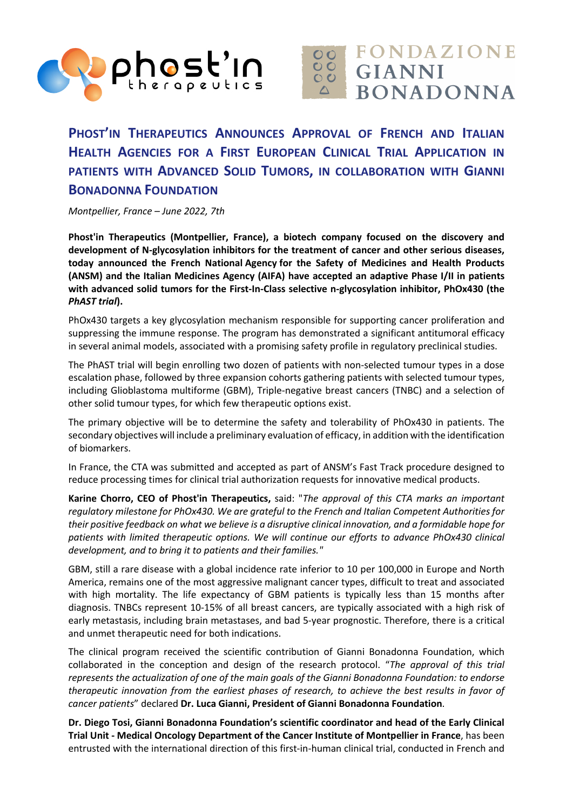



## **PHOST'IN THERAPEUTICS ANNOUNCES APPROVAL OF FRENCH AND ITALIAN HEALTH AGENCIES FOR A FIRST EUROPEAN CLINICAL TRIAL APPLICATION IN PATIENTS WITH ADVANCED SOLID TUMORS, IN COLLABORATION WITH GIANNI BONADONNA FOUNDATION**

*Montpellier, France – June 2022, 7th*

**Phost'in Therapeutics (Montpellier, France), a biotech company focused on the discovery and development of N-glycosylation inhibitors for the treatment of cancer and other serious diseases, today announced the French National Agency for the Safety of Medicines and Health Products (ANSM) and the Italian Medicines Agency (AIFA) have accepted an adaptive Phase I/II in patients with advanced solid tumors for the First-In-Class selective n-glycosylation inhibitor, PhOx430 (the**  *PhAST trial***).** 

PhOx430 targets a key glycosylation mechanism responsible for supporting cancer proliferation and suppressing the immune response. The program has demonstrated a significant antitumoral efficacy in several animal models, associated with a promising safety profile in regulatory preclinical studies.

The PhAST trial will begin enrolling two dozen of patients with non-selected tumour types in a dose escalation phase, followed by three expansion cohorts gathering patients with selected tumour types, including Glioblastoma multiforme (GBM), Triple-negative breast cancers (TNBC) and a selection of other solid tumour types, for which few therapeutic options exist.

The primary objective will be to determine the safety and tolerability of PhOx430 in patients. The secondary objectives will include a preliminary evaluation of efficacy, in addition with the identification of biomarkers.

In France, the CTA was submitted and accepted as part of ANSM's Fast Track procedure designed to reduce processing times for clinical trial authorization requests for innovative medical products.

**Karine Chorro, CEO of Phost'in Therapeutics,** said: "*The approval of this CTA marks an important regulatory milestone for PhOx430. We are grateful to the French and Italian Competent Authorities for their positive feedback on what we believe is a disruptive clinical innovation, and a formidable hope for patients with limited therapeutic options. We will continue our efforts to advance PhOx430 clinical development, and to bring it to patients and their families."*

GBM, still a rare disease with a global incidence rate inferior to 10 per 100,000 in Europe and North America, remains one of the most aggressive malignant cancer types, difficult to treat and associated with high mortality. The life expectancy of GBM patients is typically less than 15 months after diagnosis. TNBCs represent 10-15% of all breast cancers, are typically associated with a high risk of early metastasis, including brain metastases, and bad 5-year prognostic. Therefore, there is a critical and unmet therapeutic need for both indications.

The clinical program received the scientific contribution of Gianni Bonadonna Foundation, which collaborated in the conception and design of the research protocol. "*The approval of this trial represents the actualization of one of the main goals of the Gianni Bonadonna Foundation: to endorse therapeutic innovation from the earliest phases of research, to achieve the best results in favor of cancer patients*" declared **Dr. Luca Gianni, President of Gianni Bonadonna Foundation**.

**Dr. Diego Tosi, Gianni Bonadonna Foundation's scientific coordinator and head of the Early Clinical Trial Unit - Medical Oncology Department of the Cancer Institute of Montpellier in France**, has been entrusted with the international direction of this first-in-human clinical trial, conducted in French and